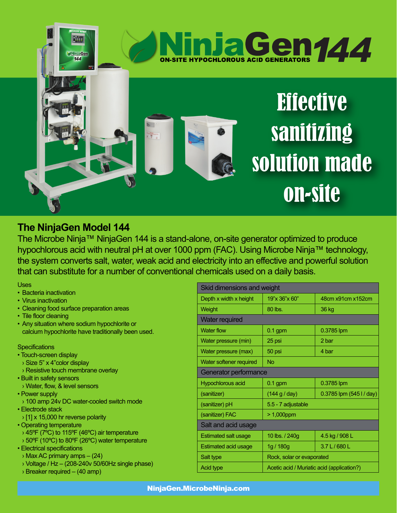

## **The NinjaGen Model 144**

The Microbe Ninja™ NinjaGen 144 is a stand-alone, on-site generator optimized to produce hypochlorous acid with neutral pH at over 1000 ppm (FAC). Using Microbe Ninja™ technology, the system converts salt, water, weak acid and electricity into an effective and powerful solution that can substitute for a number of conventional chemicals used on a daily basis.

Uses

- Bacteria inactivation
- Virus inactivation
- Cleaning food surface preparation areas
- Tile floor cleaning
- Any situation where sodium hypochlorite or calcium hypochlorite have traditionally been used.

## **Specifications**

- Touch-screen display
- › Size 5" x 4"color display
- › Resistive touch membrane overlay
- Built in safety sensors
- › Water, flow, & level sensors
- Power supply
- › 100 amp 24v DC water-cooled switch mode
- Electrode stack
- › [1] x 15,000 hr reverse polarity
- Operating temperature
- › 45ºF (7ºC) to 115ºF (46ºC) air temperature
- › 50ºF (10ºC) to 80ºF (26ºC) water temperature
- Electrical specifications
- › Max AC primary amps (24)
- $\rightarrow$  Voltage / Hz (208-240v 50/60Hz single phase)
- › Breaker required (40 amp)

| Skid dimensions and weight  |                                            |                            |
|-----------------------------|--------------------------------------------|----------------------------|
| Depth x width x height      | 19"x 36"x 60"                              | 48cm x91cm x152cm          |
| Weight                      | 80 lbs.                                    | 36 kg                      |
| <b>Water required</b>       |                                            |                            |
| <b>Water flow</b>           | $0.1$ gpm                                  | 0.3785 lpm                 |
| Water pressure (min)        | 25 psi                                     | 2 bar                      |
| Water pressure (max)        | 50 psi                                     | 4 bar                      |
| Water softener required     | <b>No</b>                                  |                            |
| Generator performance       |                                            |                            |
| Hypochlorous acid           | $0.1$ gpm                                  | 0.3785 lpm                 |
| (sanitizer)                 | (144 g / day)                              | $0.3785$ lpm (545 l / day) |
| (sanitizer) pH              | 5.5 - 7 adjustable                         |                            |
| (sanitizer) FAC             | $>1,000$ ppm                               |                            |
| Salt and acid usage         |                                            |                            |
| Estimated salt usage        | 10 lbs. / 240g                             | 4.5 kg / 908 L             |
| <b>Estimated acid usage</b> | 1g / 180g                                  | 3.7 L/680 L                |
| Salt type                   | Rock, solar or evaporated                  |                            |
| <b>Acid type</b>            | Acetic acid / Muriatic acid (application?) |                            |